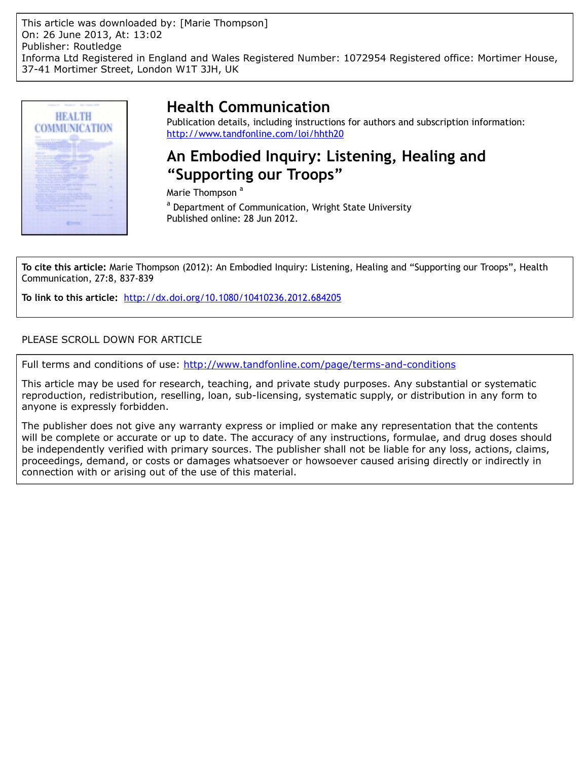

### **Health Communication**

Publication details, including instructions for authors and subscription information: http://www.tandfonline.com/loi/hhth20

# **An Embodied Inquiry: Listening, Healing and "Supporting our Troops"**

Marie Thompson<sup>a</sup>

<sup>a</sup> Department of Communication, Wright State University Published online: 28 Jun 2012.

**To cite this article:** Marie Thompson (2012): An Embodied Inquiry: Listening, Healing and "Supporting our Troops", Health Communication, 27:8, 837-839

**To link to this article:** http://dx.doi.org/10.1080/10410236.2012.684205

### PLEASE SCROLL DOWN FOR ARTICLE

Full terms and conditions of use: http://www.tandfonline.com/page/terms-and-conditions

This article may be used for research, teaching, and private study purposes. Any substantial or systematic reproduction, redistribution, reselling, loan, sub-licensing, systematic supply, or distribution in any form to anyone is expressly forbidden.

The publisher does not give any warranty express or implied or make any representation that the contents will be complete or accurate or up to date. The accuracy of any instructions, formulae, and drug doses should be independently verified with primary sources. The publisher shall not be liable for any loss, actions, claims, proceedings, demand, or costs or damages whatsoever or howsoever caused arising directly or indirectly in connection with or arising out of the use of this material.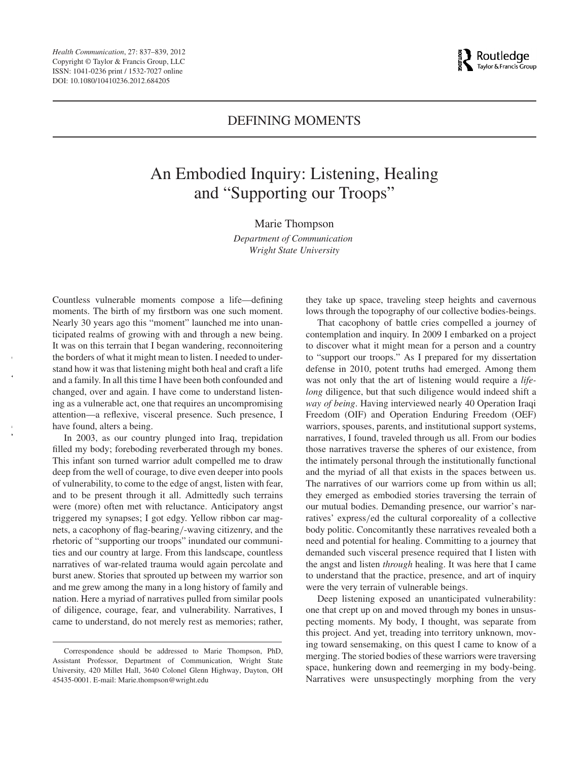

### DEFINING MOMENTS

## An Embodied Inquiry: Listening, Healing and "Supporting our Troops"

Marie Thompson

*Department of Communication Wright State University*

Countless vulnerable moments compose a life—defining moments. The birth of my firstborn was one such moment. Nearly 30 years ago this "moment" launched me into unanticipated realms of growing with and through a new being. It was on this terrain that I began wandering, reconnoitering the borders of what it might mean to listen. I needed to understand how it was that listening might both heal and craft a life and a family. In all this time I have been both confounded and changed, over and again. I have come to understand listening as a vulnerable act, one that requires an uncompromising attention—a reflexive, visceral presence. Such presence, I have found, alters a being.

Downloaded by [Marie Thompson] at 13:02 26 June 2013

In 2003, as our country plunged into Iraq, trepidation filled my body; foreboding reverberated through my bones. This infant son turned warrior adult compelled me to draw deep from the well of courage, to dive even deeper into pools of vulnerability, to come to the edge of angst, listen with fear, and to be present through it all. Admittedly such terrains were (more) often met with reluctance. Anticipatory angst triggered my synapses; I got edgy. Yellow ribbon car magnets, a cacophony of flag-bearing/-waving citizenry, and the rhetoric of "supporting our troops" inundated our communities and our country at large. From this landscape, countless narratives of war-related trauma would again percolate and burst anew. Stories that sprouted up between my warrior son and me grew among the many in a long history of family and nation. Here a myriad of narratives pulled from similar pools of diligence, courage, fear, and vulnerability. Narratives, I came to understand, do not merely rest as memories; rather,

they take up space, traveling steep heights and cavernous lows through the topography of our collective bodies-beings.

That cacophony of battle cries compelled a journey of contemplation and inquiry. In 2009 I embarked on a project to discover what it might mean for a person and a country to "support our troops." As I prepared for my dissertation defense in 2010, potent truths had emerged. Among them was not only that the art of listening would require a *lifelong* diligence, but that such diligence would indeed shift a *way of being*. Having interviewed nearly 40 Operation Iraqi Freedom (OIF) and Operation Enduring Freedom (OEF) warriors, spouses, parents, and institutional support systems, narratives, I found, traveled through us all. From our bodies those narratives traverse the spheres of our existence, from the intimately personal through the institutionally functional and the myriad of all that exists in the spaces between us. The narratives of our warriors come up from within us all; they emerged as embodied stories traversing the terrain of our mutual bodies. Demanding presence, our warrior's narratives' express/ed the cultural corporeality of a collective body politic. Concomitantly these narratives revealed both a need and potential for healing. Committing to a journey that demanded such visceral presence required that I listen with the angst and listen *through* healing. It was here that I came to understand that the practice, presence, and art of inquiry were the very terrain of vulnerable beings.

Deep listening exposed an unanticipated vulnerability: one that crept up on and moved through my bones in unsuspecting moments. My body, I thought, was separate from this project. And yet, treading into territory unknown, moving toward sensemaking, on this quest I came to know of a merging. The storied bodies of these warriors were traversing space, hunkering down and reemerging in my body-being. Narratives were unsuspectingly morphing from the very

Correspondence should be addressed to Marie Thompson, PhD, Assistant Professor, Department of Communication, Wright State University, 420 Millet Hall, 3640 Colonel Glenn Highway, Dayton, OH 45435-0001. E-mail: Marie.thompson@wright.edu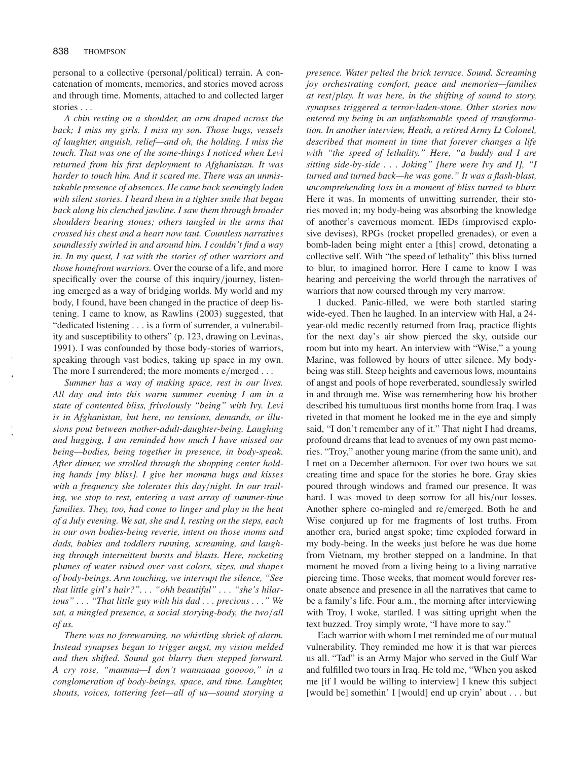Downloaded by [Marie Thompson] at 13:02 26 June 2013

personal to a collective (personal/political) terrain. A concatenation of moments, memories, and stories moved across and through time. Moments, attached to and collected larger stories . . .

*A chin resting on a shoulder, an arm draped across the back; I miss my girls. I miss my son. Those hugs, vessels of laughter, anguish, relief—and oh, the holding. I miss the touch. That was one of the some-things I noticed when Levi returned from his first deployment to Afghanistan. It was harder to touch him. And it scared me. There was an unmistakable presence of absences. He came back seemingly laden with silent stories. I heard them in a tighter smile that began back along his clenched jawline. I saw them through broader shoulders bearing stones; others tangled in the arms that crossed his chest and a heart now taut. Countless narratives soundlessly swirled in and around him. I couldn't find a way in. In my quest, I sat with the stories of other warriors and those homefront warriors.* Over the course of a life, and more specifically over the course of this inquiry/journey, listening emerged as a way of bridging worlds. My world and my body, I found, have been changed in the practice of deep listening. I came to know, as Rawlins (2003) suggested, that "dedicated listening . . . is a form of surrender, a vulnerability and susceptibility to others" (p. 123, drawing on Levinas, 1991). I was confounded by those body-stories of warriors, speaking through vast bodies, taking up space in my own. The more I surrendered; the more moments e/merged . . .

*Summer has a way of making space, rest in our lives. All day and into this warm summer evening I am in a state of contented bliss, frivolously "being" with Ivy. Levi is in Afghanistan, but here, no tensions, demands, or illusions pout between mother-adult-daughter-being. Laughing and hugging, I am reminded how much I have missed our being—bodies, being together in presence, in body-speak. After dinner, we strolled through the shopping center holding hands [my bliss]. I give her momma hugs and kisses with a frequency she tolerates this day*/*night. In our trailing, we stop to rest, entering a vast array of summer-time families. They, too, had come to linger and play in the heat of a July evening. We sat, she and I, resting on the steps, each in our own bodies-being reverie, intent on those moms and dads, babies and toddlers running, screaming, and laughing through intermittent bursts and blasts. Here, rocketing plumes of water rained over vast colors, sizes, and shapes of body-beings. Arm touching, we interrupt the silence, "See that little girl's hair?". . . "ohh beautiful" . . . "she's hilarious" . . . "That little guy with his dad . . . precious . . ." We sat, a mingled presence, a social storying-body, the two*/*all of us.*

*There was no forewarning, no whistling shriek of alarm. Instead synapses began to trigger angst, my vision melded and then shifted. Sound got blurry then stepped forward. A cry rose, "mamma—I don't wannaaaa gooooo," in a conglomeration of body-beings, space, and time. Laughter, shouts, voices, tottering feet—all of us—sound storying a*

*presence. Water pelted the brick terrace. Sound. Screaming joy orchestrating comfort, peace and memories—families at rest*/*play. It was here, in the shifting of sound to story, synapses triggered a terror-laden-stone. Other stories now entered my being in an unfathomable speed of transformation. In another interview, Heath, a retired Army Lt Colonel, described that moment in time that forever changes a life with "the speed of lethality." Here, "a buddy and I are sitting side-by-side . . . Joking" [here were Ivy and I], "I turned and turned back—he was gone." It was a flash-blast, uncomprehending loss in a moment of bliss turned to blurr.* Here it was. In moments of unwitting surrender, their stories moved in; my body-being was absorbing the knowledge of another's cavernous moment. IEDs (improvised explosive devises), RPGs (rocket propelled grenades), or even a bomb-laden being might enter a [this] crowd, detonating a collective self. With "the speed of lethality" this bliss turned to blur, to imagined horror. Here I came to know I was hearing and perceiving the world through the narratives of warriors that now coursed through my very marrow.

I ducked. Panic-filled, we were both startled staring wide-eyed. Then he laughed. In an interview with Hal, a 24 year-old medic recently returned from Iraq, practice flights for the next day's air show pierced the sky, outside our room but into my heart. An interview with "Wise," a young Marine, was followed by hours of utter silence. My bodybeing was still. Steep heights and cavernous lows, mountains of angst and pools of hope reverberated, soundlessly swirled in and through me. Wise was remembering how his brother described his tumultuous first months home from Iraq. I was riveted in that moment he looked me in the eye and simply said, "I don't remember any of it." That night I had dreams, profound dreams that lead to avenues of my own past memories. "Troy," another young marine (from the same unit), and I met on a December afternoon. For over two hours we sat creating time and space for the stories he bore. Gray skies poured through windows and framed our presence. It was hard. I was moved to deep sorrow for all his/our losses. Another sphere co-mingled and re/emerged. Both he and Wise conjured up for me fragments of lost truths. From another era, buried angst spoke; time exploded forward in my body-being. In the weeks just before he was due home from Vietnam, my brother stepped on a landmine. In that moment he moved from a living being to a living narrative piercing time. Those weeks, that moment would forever resonate absence and presence in all the narratives that came to be a family's life. Four a.m., the morning after interviewing with Troy, I woke, startled. I was sitting upright when the text buzzed. Troy simply wrote, "I have more to say."

Each warrior with whom I met reminded me of our mutual vulnerability. They reminded me how it is that war pierces us all. "Tad" is an Army Major who served in the Gulf War and fulfilled two tours in Iraq. He told me, "When you asked me [if I would be willing to interview] I knew this subject [would be] somethin' I [would] end up cryin' about . . . but